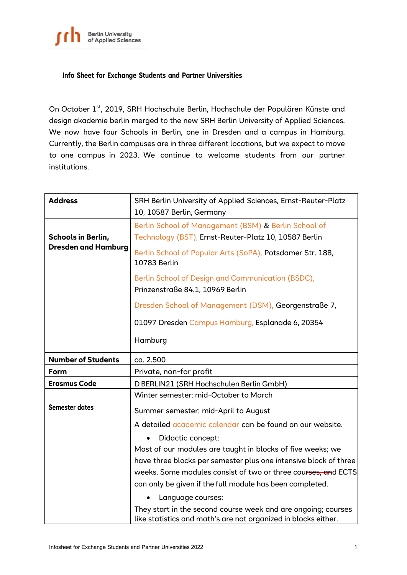

## **Info Sheet for Exchange Students and Partner Universities**

On October 1<sup>st</sup>, 2019, SRH Hochschule Berlin, Hochschule der Populären Künste and design akademie berlin merged to the new SRH Berlin University of Applied Sciences. We now have four Schools in Berlin, one in Dresden and a campus in Hamburg. Currently, the Berlin campuses are in three different locations, but we expect to move to one campus in 2023. We continue to welcome students from our partner institutions.

| <b>Address</b>             | SRH Berlin University of Applied Sciences, Ernst-Reuter-Platz<br>10, 10587 Berlin, Germany                                      |
|----------------------------|---------------------------------------------------------------------------------------------------------------------------------|
| <b>Schools in Berlin,</b>  | Berlin School of Management (BSM) & Berlin School of<br>Technology (BST), Ernst-Reuter-Platz 10, 10587 Berlin                   |
| <b>Dresden and Hamburg</b> | Berlin School of Popular Arts (SoPA), Potsdamer Str. 188,<br>10783 Berlin                                                       |
|                            | Berlin School of Design and Communication (BSDC),<br>Prinzenstraße 84.1, 10969 Berlin                                           |
|                            | Dresden School of Management (DSM), Georgenstraße 7,                                                                            |
|                            | 01097 Dresden Campus Hamburg, Esplanade 6, 20354                                                                                |
|                            | Hamburg                                                                                                                         |
| <b>Number of Students</b>  | ca. 2.500                                                                                                                       |
| Form                       | Private, non-for profit                                                                                                         |
| <b>Erasmus Code</b>        | D BERLIN21 (SRH Hochschulen Berlin GmbH)                                                                                        |
|                            | Winter semester: mid-October to March                                                                                           |
| <b>Semester dates</b>      | Summer semester: mid-April to August                                                                                            |
|                            | A detailed academic calendar can be found on our website.                                                                       |
|                            | Didactic concept:                                                                                                               |
|                            | Most of our modules are taught in blocks of five weeks; we                                                                      |
|                            | have three blocks per semester plus one intensive block of three                                                                |
|                            | weeks. Some modules consist of two or three courses, and ECTS                                                                   |
|                            | can only be given if the full module has been completed.                                                                        |
|                            | Language courses:                                                                                                               |
|                            | They start in the second course week and are ongoing; courses<br>like statistics and math's are not organized in blocks either. |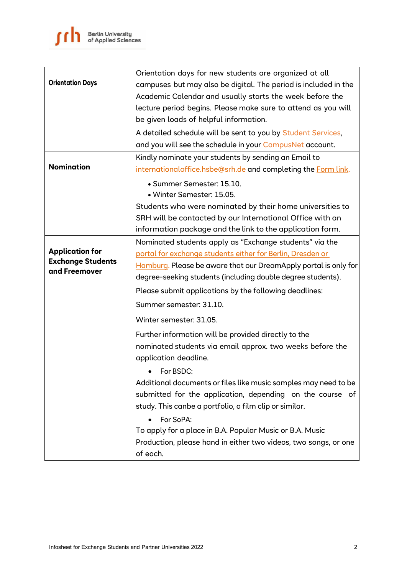|                                           | Orientation days for new students are organized at all                             |
|-------------------------------------------|------------------------------------------------------------------------------------|
| <b>Orientation Days</b>                   | campuses but may also be digital. The period is included in the                    |
|                                           | Academic Calendar and usually starts the week before the                           |
|                                           | lecture period begins. Please make sure to attend as you will                      |
|                                           | be given loads of helpful information.                                             |
|                                           | A detailed schedule will be sent to you by Student Services,                       |
|                                           | and you will see the schedule in your CampusNet account.                           |
|                                           | Kindly nominate your students by sending an Email to                               |
| <b>Nomination</b>                         | internationaloffice.hsbe@srh.de and completing the Form link.                      |
|                                           | • Summer Semester: 15.10.                                                          |
|                                           | · Winter Semester: 15.05.                                                          |
|                                           | Students who were nominated by their home universities to                          |
|                                           | SRH will be contacted by our International Office with an                          |
|                                           | information package and the link to the application form.                          |
|                                           | Nominated students apply as "Exchange students" via the                            |
| <b>Application for</b>                    | portal for exchange students either for Berlin, Dresden or                         |
| <b>Exchange Students</b><br>and Freemover | Hamburg. Please be aware that our DreamApply portal is only for                    |
|                                           | degree-seeking students (including double degree students).                        |
|                                           | Please submit applications by the following deadlines:                             |
|                                           | Summer semester: 31.10.                                                            |
|                                           | Winter semester: 31.05.                                                            |
|                                           | Further information will be provided directly to the                               |
|                                           | nominated students via email approx. two weeks before the<br>application deadline. |
|                                           | For BSDC:                                                                          |
|                                           | Additional documents or files like music samples may need to be                    |
|                                           | submitted for the application, depending on the course of                          |
|                                           | study. This canbe a portfolio, a film clip or similar.                             |
|                                           | For SoPA:                                                                          |
|                                           | To apply for a place in B.A. Popular Music or B.A. Music                           |
|                                           | Production, please hand in either two videos, two songs, or one                    |
|                                           | of each.                                                                           |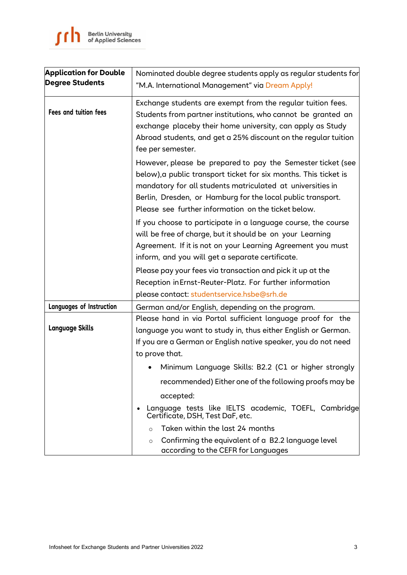| <b>Application for Double</b><br><b>Degree Students</b> | Nominated double degree students apply as regular students for<br>"M.A. International Management" via Dream Apply!                                                                                                                                                                                                  |
|---------------------------------------------------------|---------------------------------------------------------------------------------------------------------------------------------------------------------------------------------------------------------------------------------------------------------------------------------------------------------------------|
| <b>Fees and tuition fees</b>                            | Exchange students are exempt from the regular tuition fees.<br>Students from partner institutions, who cannot be granted an<br>exchange placeby their home university, can apply as Study<br>Abroad students, and get a 25% discount on the regular tuition<br>fee per semester.                                    |
|                                                         | However, please be prepared to pay the Semester ticket (see<br>below), a public transport ticket for six months. This ticket is<br>mandatory for all students matriculated at universities in<br>Berlin, Dresden, or Hamburg for the local public transport.<br>Please see further information on the ticket below. |
|                                                         | If you choose to participate in a language course, the course<br>will be free of charge, but it should be on your Learning<br>Agreement. If it is not on your Learning Agreement you must<br>inform, and you will get a separate certificate.                                                                       |
|                                                         | Please pay your fees via transaction and pick it up at the<br>Reception in Ernst-Reuter-Platz. For further information<br>please contact: studentservice.hsbe@srh.de                                                                                                                                                |
| <b>Languages of Instruction</b>                         | German and/or English, depending on the program.                                                                                                                                                                                                                                                                    |
| <b>Language Skills</b>                                  | Please hand in via Portal sufficient language proof for the<br>language you want to study in, thus either English or German.<br>If you are a German or English native speaker, you do not need<br>to prove that.                                                                                                    |
|                                                         | Minimum Language Skills: B2.2 (C1 or higher strongly                                                                                                                                                                                                                                                                |
|                                                         | recommended) Either one of the following proofs may be                                                                                                                                                                                                                                                              |
|                                                         |                                                                                                                                                                                                                                                                                                                     |
|                                                         | accepted:<br>Language tests like IELTS academic, TOEFL, Cambridge<br>Certificate, DSH, Test DaF, etc.                                                                                                                                                                                                               |
|                                                         | Taken within the last 24 months<br>$\circ$                                                                                                                                                                                                                                                                          |
|                                                         | Confirming the equivalent of a B2.2 language level<br>$\circ$<br>according to the CEFR for Languages                                                                                                                                                                                                                |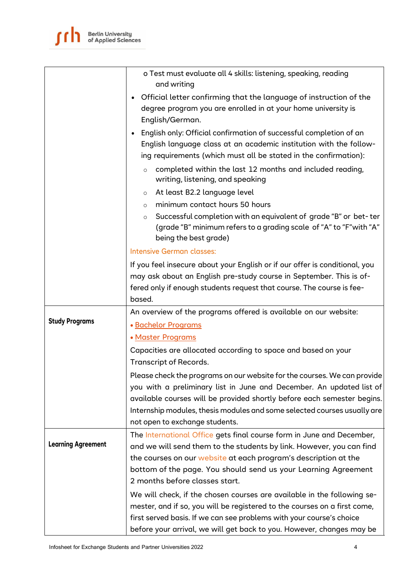

|                           | o Test must evaluate all 4 skills: listening, speaking, reading<br>and writing                                                                                                                                                                                                                          |
|---------------------------|---------------------------------------------------------------------------------------------------------------------------------------------------------------------------------------------------------------------------------------------------------------------------------------------------------|
|                           | • Official letter confirming that the language of instruction of the<br>degree program you are enrolled in at your home university is<br>English/German.                                                                                                                                                |
|                           | English only: Official confirmation of successful completion of an<br>$\bullet$<br>English language class at an academic institution with the follow-<br>ing requirements (which must all be stated in the confirmation):                                                                               |
|                           | completed within the last 12 months and included reading,<br>$\circ$<br>writing, listening, and speaking                                                                                                                                                                                                |
|                           | At least B2.2 language level<br>$\circ$                                                                                                                                                                                                                                                                 |
|                           | minimum contact hours 50 hours<br>$\circ$                                                                                                                                                                                                                                                               |
|                           | Successful completion with an equivalent of grade "B" or bet-ter<br>$\circ$<br>(grade "B" minimum refers to a grading scale of "A" to "F" with "A"<br>being the best grade)                                                                                                                             |
|                           | Intensive German classes:                                                                                                                                                                                                                                                                               |
|                           | If you feel insecure about your English or if our offer is conditional, you                                                                                                                                                                                                                             |
|                           | may ask about an English pre-study course in September. This is of-                                                                                                                                                                                                                                     |
|                           | fered only if enough students request that course. The course is fee-                                                                                                                                                                                                                                   |
|                           | based.                                                                                                                                                                                                                                                                                                  |
| <b>Study Programs</b>     | An overview of the programs offered is available on our website:                                                                                                                                                                                                                                        |
|                           | · Bachelor Programs                                                                                                                                                                                                                                                                                     |
|                           | • Master Programs                                                                                                                                                                                                                                                                                       |
|                           | Capacities are allocated according to space and based on your<br><b>Transcript of Records.</b>                                                                                                                                                                                                          |
|                           | Please check the programs on our website for the courses. We can provide<br>you with a preliminary list in June and December. An updated list of<br>available courses will be provided shortly before each semester begins.<br>Internship modules, thesis modules and some selected courses usually are |
|                           | not open to exchange students.                                                                                                                                                                                                                                                                          |
| <b>Learning Agreement</b> | The International Office gets final course form in June and December,<br>and we will send them to the students by link. However, you can find                                                                                                                                                           |
|                           | the courses on our website at each program's description at the                                                                                                                                                                                                                                         |
|                           | bottom of the page. You should send us your Learning Agreement                                                                                                                                                                                                                                          |
|                           | 2 months before classes start.                                                                                                                                                                                                                                                                          |
|                           | We will check, if the chosen courses are available in the following se-                                                                                                                                                                                                                                 |
|                           | mester, and if so, you will be registered to the courses on a first come,                                                                                                                                                                                                                               |
|                           | first served basis. If we can see problems with your course's choice<br>before your arrival, we will get back to you. However, changes may be                                                                                                                                                           |
|                           |                                                                                                                                                                                                                                                                                                         |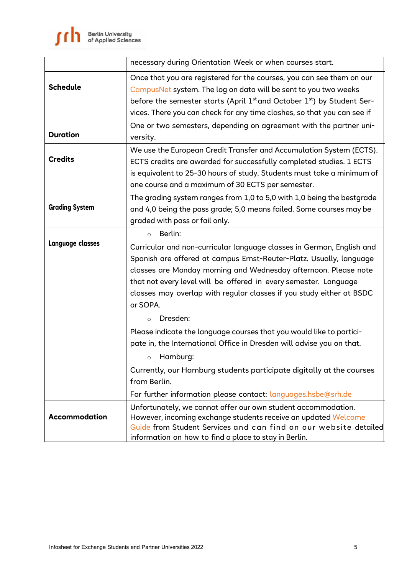|                       | necessary during Orientation Week or when courses start.                                                                                                                                                                                                                                                                                                                                                              |
|-----------------------|-----------------------------------------------------------------------------------------------------------------------------------------------------------------------------------------------------------------------------------------------------------------------------------------------------------------------------------------------------------------------------------------------------------------------|
| <b>Schedule</b>       | Once that you are registered for the courses, you can see them on our<br>CampusNet system. The log on data will be sent to you two weeks<br>before the semester starts (April $1st$ and October $1st$ ) by Student Ser-<br>vices. There you can check for any time clashes, so that you can see if                                                                                                                    |
| <b>Duration</b>       | One or two semesters, depending on agreement with the partner uni-<br>versity.                                                                                                                                                                                                                                                                                                                                        |
| <b>Credits</b>        | We use the European Credit Transfer and Accumulation System (ECTS).<br>ECTS credits are awarded for successfully completed studies. 1 ECTS<br>is equivalent to 25-30 hours of study. Students must take a minimum of<br>one course and a maximum of 30 ECTS per semester.                                                                                                                                             |
| <b>Grading System</b> | The grading system ranges from 1,0 to 5,0 with 1,0 being the bestgrade<br>and 4,0 being the pass grade; 5,0 means failed. Some courses may be<br>graded with pass or fail only.                                                                                                                                                                                                                                       |
| Language classes      | Berlin:<br>$\circ$<br>Curricular and non-curricular language classes in German, English and<br>Spanish are offered at campus Ernst-Reuter-Platz. Usually, language<br>classes are Monday morning and Wednesday afternoon. Please note<br>that not every level will be offered in every semester. Language<br>classes may overlap with regular classes if you study either at BSDC<br>or SOPA.<br>Dresden:<br>$\Omega$ |
|                       | Please indicate the language courses that you would like to partici-<br>pate in, the International Office in Dresden will advise you on that.<br>Hamburg:<br>$\circ$<br>Currently, our Hamburg students participate digitally at the courses<br>from Berlin.<br>For further information please contact: languages.hsbe@srh.de                                                                                         |
| Accommodation         | Unfortunately, we cannot offer our own student accommodation.<br>However, incoming exchange students receive an updated Welcome<br>Guide from Student Services and can find on our website detailed<br>information on how to find a place to stay in Berlin.                                                                                                                                                          |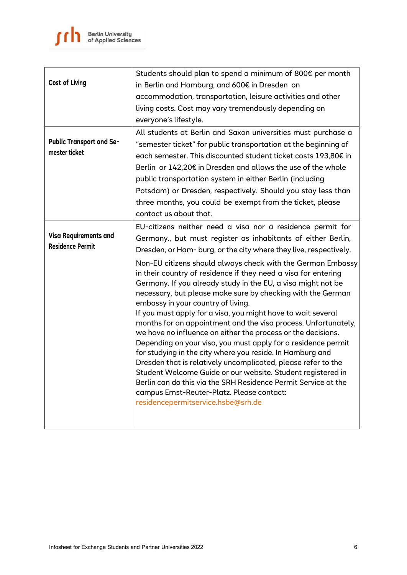|                                                  | Students should plan to spend a minimum of 800€ per month                                                                                                                                                                                                                                                                                                                                                                                                                                                                                                                                                          |
|--------------------------------------------------|--------------------------------------------------------------------------------------------------------------------------------------------------------------------------------------------------------------------------------------------------------------------------------------------------------------------------------------------------------------------------------------------------------------------------------------------------------------------------------------------------------------------------------------------------------------------------------------------------------------------|
| <b>Cost of Living</b>                            | in Berlin and Hamburg, and 600€ in Dresden on                                                                                                                                                                                                                                                                                                                                                                                                                                                                                                                                                                      |
|                                                  | accommodation, transportation, leisure activities and other                                                                                                                                                                                                                                                                                                                                                                                                                                                                                                                                                        |
|                                                  | living costs. Cost may vary tremendously depending on                                                                                                                                                                                                                                                                                                                                                                                                                                                                                                                                                              |
|                                                  | everyone's lifestyle.                                                                                                                                                                                                                                                                                                                                                                                                                                                                                                                                                                                              |
| <b>Public Transport and Se-</b><br>mester ticket | All students at Berlin and Saxon universities must purchase a<br>"semester ticket" for public transportation at the beginning of<br>each semester. This discounted student ticket costs 193,80€ in<br>Berlin or 142,20€ in Dresden and allows the use of the whole<br>public transportation system in either Berlin (including<br>Potsdam) or Dresden, respectively. Should you stay less than<br>three months, you could be exempt from the ticket, please<br>contact us about that.                                                                                                                              |
|                                                  | EU-citizens neither need a visa nor a residence permit for                                                                                                                                                                                                                                                                                                                                                                                                                                                                                                                                                         |
| Visa Requirements and<br><b>Residence Permit</b> | Germany., but must register as inhabitants of either Berlin,<br>Dresden, or Ham-burg, or the city where they live, respectively.                                                                                                                                                                                                                                                                                                                                                                                                                                                                                   |
|                                                  | Non-EU citizens should always check with the German Embassy<br>in their country of residence if they need a visa for entering<br>Germany. If you already study in the EU, a visa might not be<br>necessary, but please make sure by checking with the German<br>embassy in your country of living.                                                                                                                                                                                                                                                                                                                 |
|                                                  | If you must apply for a visa, you might have to wait several<br>months for an appointment and the visa process. Unfortunately,<br>we have no influence on either the process or the decisions.<br>Depending on your visa, you must apply for a residence permit<br>for studying in the city where you reside. In Hamburg and<br>Dresden that is relatively uncomplicated, please refer to the<br>Student Welcome Guide or our website. Student registered in<br>Berlin can do this via the SRH Residence Permit Service at the<br>campus Ernst-Reuter-Platz. Please contact:<br>residencepermitservice.hsbe@srh.de |
|                                                  |                                                                                                                                                                                                                                                                                                                                                                                                                                                                                                                                                                                                                    |